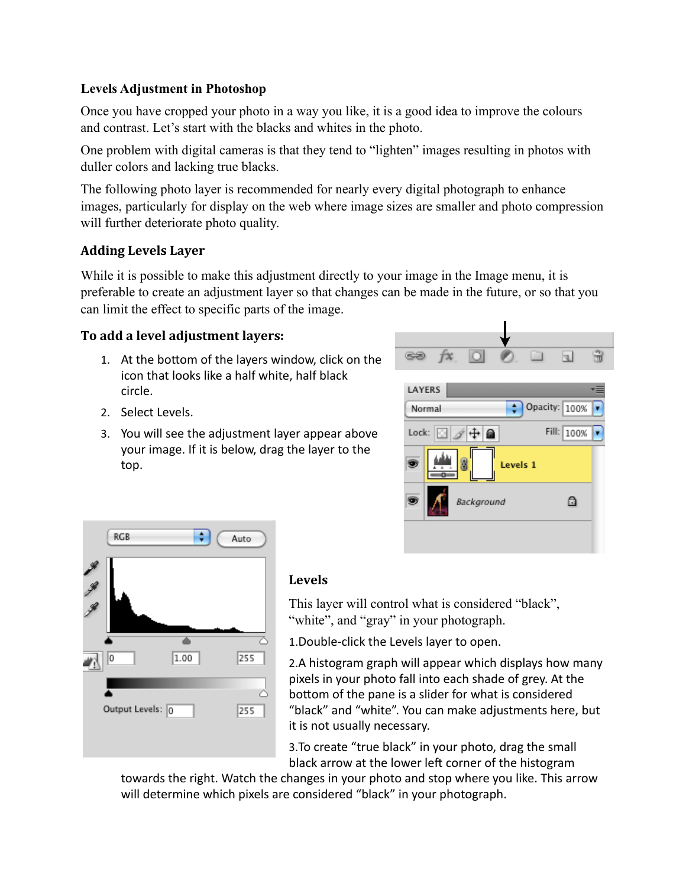## **Levels Adjustment in Photoshop**

Once you have cropped your photo in a way you like, it is a good idea to improve the colours and contrast. Let's start with the blacks and whites in the photo.

One problem with digital cameras is that they tend to "lighten" images resulting in photos with duller colors and lacking true blacks.

The following photo layer is recommended for nearly every digital photograph to enhance images, particularly for display on the web where image sizes are smaller and photo compression will further deteriorate photo quality.

## **Adding&Levels&Layer**

While it is possible to make this adjustment directly to your image in the Image menu, it is preferable to create an adjustment layer so that changes can be made in the future, or so that you can limit the effect to specific parts of the image.

## **To add a level adjustment layers:**

- 1. At the bottom of the layers window, click on the icon that looks like a half white, half black circle.
- 2. Select Levels.
- 3. You will see the adjustment layer appear above your image. If it is below, drag the layer to the top.





## **Levels**

This layer will control what is considered "black", "white", and "gray" in your photograph.

1. Double-click the Levels layer to open.

2.A histogram graph will appear which displays how many pixels in your photo fall into each shade of grey. At the bottom of the pane is a slider for what is considered "black" and "white". You can make adjustments here, but it is not usually necessary.

3. To create "true black" in your photo, drag the small black arrow at the lower left corner of the histogram

towards the right. Watch the changes in your photo and stop where you like. This arrow will determine which pixels are considered "black" in your photograph.